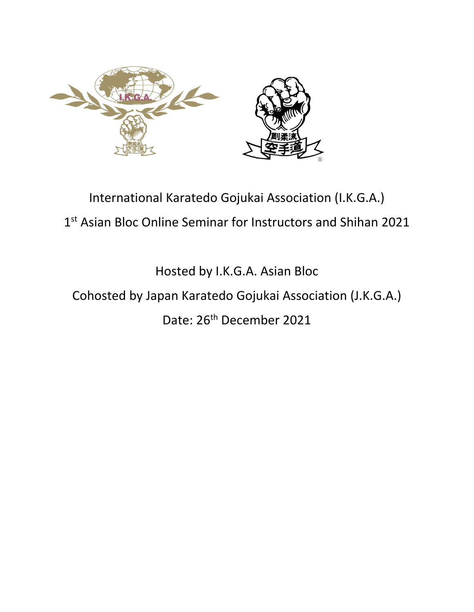

## International Karatedo Gojukai Association (I.K.G.A.) 1<sup>st</sup> Asian Bloc Online Seminar for Instructors and Shihan 2021

Hosted by I.K.G.A. Asian Bloc

## Cohosted by Japan Karatedo Gojukai Association (J.K.G.A.)

## Date: 26<sup>th</sup> December 2021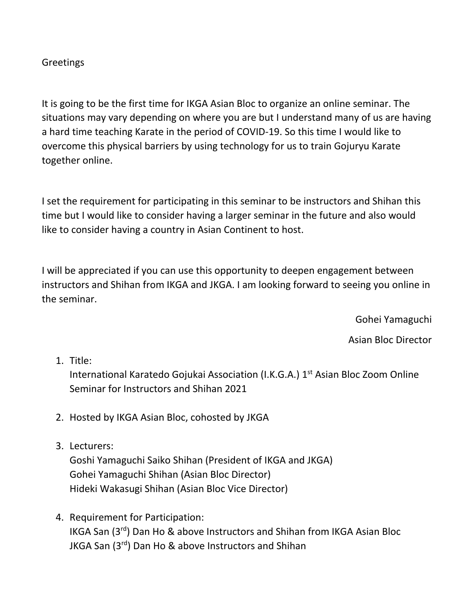## **Greetings**

It is going to be the first time for IKGA Asian Bloc to organize an online seminar. The situations may vary depending on where you are but I understand many of us are having a hard time teaching Karate in the period of COVID-19. So this time I would like to overcome this physical barriers by using technology for us to train Gojuryu Karate together online.

I set the requirement for participating in this seminar to be instructors and Shihan this time but I would like to consider having a larger seminar in the future and also would like to consider having a country in Asian Continent to host.

I will be appreciated if you can use this opportunity to deepen engagement between instructors and Shihan from IKGA and JKGA. I am looking forward to seeing you online in the seminar.

Gohei Yamaguchi

Asian Bloc Director

1. Title:

International Karatedo Gojukai Association (I.K.G.A.)  $1<sup>st</sup>$  Asian Bloc Zoom Online Seminar for Instructors and Shihan 2021

- 2. Hosted by IKGA Asian Bloc, cohosted by JKGA
- 3. Lecturers:

Goshi Yamaguchi Saiko Shihan (President of IKGA and JKGA) Gohei Yamaguchi Shihan (Asian Bloc Director) Hideki Wakasugi Shihan (Asian Bloc Vice Director)

4. Requirement for Participation: IKGA San (3rd) Dan Ho & above Instructors and Shihan from IKGA Asian Bloc JKGA San (3rd) Dan Ho & above Instructors and Shihan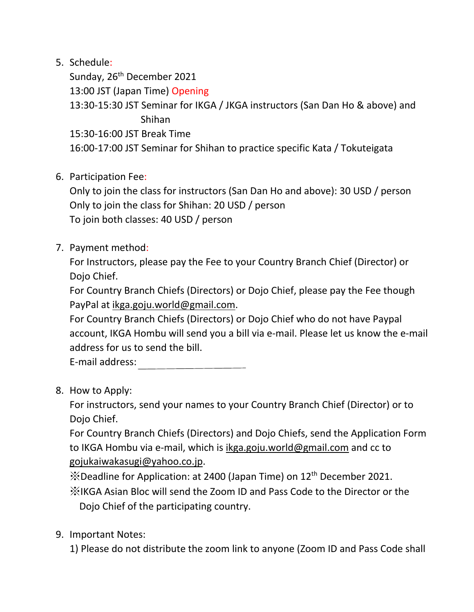5. Schedule:

Sunday, 26<sup>th</sup> December 2021

13:00 JST (Japan Time) Opening

13:30-15:30 JST Seminar for IKGA / JKGA instructors (San Dan Ho & above) and Shihan

15:30-16:00 JST Break Time

16:00-17:00 JST Seminar for Shihan to practice specific Kata / Tokuteigata

6. Participation Fee:

Only to join the class for instructors (San Dan Ho and above): 30 USD / person Only to join the class for Shihan: 20 USD / person To join both classes: 40 USD / person

7. Payment method:

For Instructors, please pay the Fee to your Country Branch Chief (Director) or Dojo Chief.

For Country Branch Chiefs (Directors) or Dojo Chief, please pay the Fee though PayPal at ikga.goju.world@gmail.com.

For Country Branch Chiefs (Directors) or Dojo Chief who do not have Paypal account, IKGA Hombu will send you a bill via e-mail. Please let us know the e-mail address for us to send the bill.

E-mail address:

8. How to Apply:

For instructors, send your names to your Country Branch Chief (Director) or to Dojo Chief.

For Country Branch Chiefs (Directors) and Dojo Chiefs, send the Application Form to IKGA Hombu via e-mail, which is ikga.goju.world@gmail.com and cc to gojukaiwakasugi@yahoo.co.jp.

※Deadline for Application: at 2400 (Japan Time) on 12th December 2021.

※IKGA Asian Bloc will send the Zoom ID and Pass Code to the Director or the Dojo Chief of the participating country.

9. Important Notes:

1) Please do not distribute the zoom link to anyone (Zoom ID and Pass Code shall